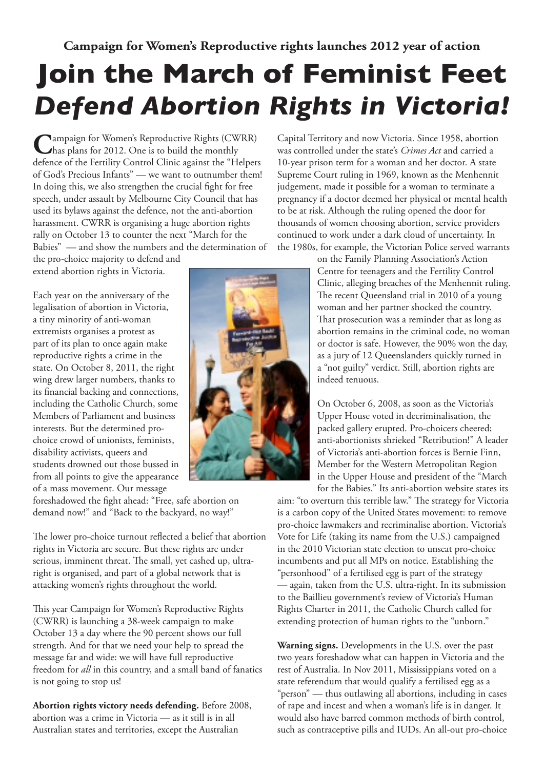## **Join the March of Feminist Feet** *Defend Abortion Rights in Victoria!*

**C**ampaign for Women's Reproductive Rights (CWRR) has plans for 2012. One is to build the monthly defence of the Fertility Control Clinic against the "Helpers of God's Precious Infants" — we want to outnumber them! In doing this, we also strengthen the crucial fight for free speech, under assault by Melbourne City Council that has used its bylaws against the defence, not the anti-abortion harassment. CWRR is organising a huge abortion rights rally on October 13 to counter the next "March for the Babies" — and show the numbers and the determination of

the pro-choice majority to defend and extend abortion rights in Victoria.

Each year on the anniversary of the legalisation of abortion in Victoria, a tiny minority of anti-woman extremists organises a protest as part of its plan to once again make reproductive rights a crime in the state. On October 8, 2011, the right wing drew larger numbers, thanks to its financial backing and connections, including the Catholic Church, some Members of Parliament and business interests. But the determined prochoice crowd of unionists, feminists, disability activists, queers and students drowned out those bussed in from all points to give the appearance of a mass movement. Our message

foreshadowed the fight ahead: "Free, safe abortion on demand now!" and "Back to the backyard, no way!"

The lower pro-choice turnout reflected a belief that abortion rights in Victoria are secure. But these rights are under serious, imminent threat. The small, yet cashed up, ultraright is organised, and part of a global network that is attacking women's rights throughout the world.

This year Campaign for Women's Reproductive Rights (CWRR) is launching a 38-week campaign to make October 13 a day where the 90 percent shows our full strength. And for that we need your help to spread the message far and wide: we will have full reproductive freedom for *all* in this country, and a small band of fanatics is not going to stop us!

**Abortion rights victory needs defending.** Before 2008, abortion was a crime in Victoria — as it still is in all Australian states and territories, except the Australian

Capital Territory and now Victoria. Since 1958, abortion was controlled under the state's *Crimes Act* and carried a 10-year prison term for a woman and her doctor. A state Supreme Court ruling in 1969, known as the Menhennit judgement, made it possible for a woman to terminate a pregnancy if a doctor deemed her physical or mental health to be at risk. Although the ruling opened the door for thousands of women choosing abortion, service providers continued to work under a dark cloud of uncertainty. In the 1980s, for example, the Victorian Police served warrants

> on the Family Planning Association's Action Centre for teenagers and the Fertility Control Clinic, alleging breaches of the Menhennit ruling. The recent Queensland trial in 2010 of a young woman and her partner shocked the country. That prosecution was a reminder that as long as abortion remains in the criminal code, no woman or doctor is safe. However, the 90% won the day, as a jury of 12 Queenslanders quickly turned in a "not guilty" verdict. Still, abortion rights are indeed tenuous.

On October 6, 2008, as soon as the Victoria's Upper House voted in decriminalisation, the packed gallery erupted. Pro-choicers cheered; anti-abortionists shrieked "Retribution!" A leader of Victoria's anti-abortion forces is Bernie Finn, Member for the Western Metropolitan Region in the Upper House and president of the "March for the Babies." Its anti-abortion website states its

aim: "to overturn this terrible law." The strategy for Victoria is a carbon copy of the United States movement: to remove pro-choice lawmakers and recriminalise abortion. Victoria's Vote for Life (taking its name from the U.S.) campaigned in the 2010 Victorian state election to unseat pro-choice incumbents and put all MPs on notice. Establishing the "personhood" of a fertilised egg is part of the strategy — again, taken from the U.S. ultra-right. In its submission to the Baillieu government's review of Victoria's Human Rights Charter in 2011, the Catholic Church called for extending protection of human rights to the "unborn."

**Warning signs.** Developments in the U.S. over the past two years foreshadow what can happen in Victoria and the rest of Australia. In Nov 2011, Mississippians voted on a state referendum that would qualify a fertilised egg as a "person" — thus outlawing all abortions, including in cases of rape and incest and when a woman's life is in danger. It would also have barred common methods of birth control, such as contraceptive pills and IUDs. An all-out pro-choice